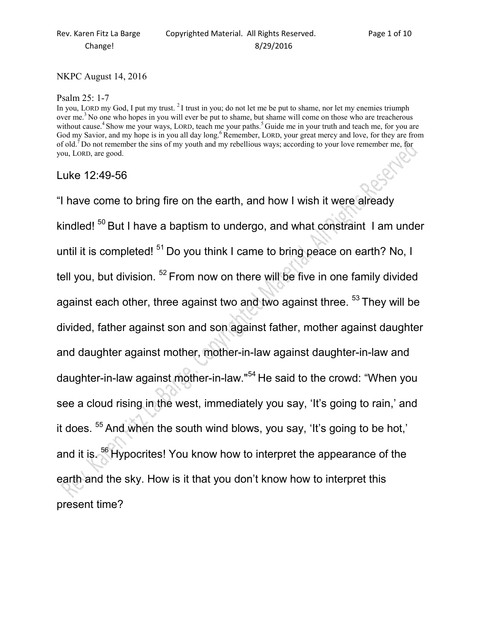## NKPC August 14, 2016

## Psalm 25: 1-7

In you, LORD my God, I put my trust. <sup>2</sup>I trust in you; do not let me be put to shame, nor let my enemies triumph over me.<sup>3</sup> No one who hopes in you will ever be put to shame, but shame will come on those who are treacherous without cause.<sup>4</sup> Show me your ways, LORD, teach me your paths.<sup>5</sup> Guide me in your truth and teach me, for you are God my Savior, and my hope is in you all day long.<sup>6</sup>Remember, LORD, your great mercy and love, for they are from of old.<sup>7</sup>Do not remember the sins of my youth and my rebellious ways; according to your love remember me, for you, LORD, are good.

## Luke 12:49-56

"I have come to bring fire on the earth, and how I wish it were already kindled!  $50$  But I have a baptism to undergo, and what constraint I am under until it is completed!  $51$  Do you think I came to bring peace on earth? No, I tell you, but division.  $52$  From now on there will be five in one family divided against each other, three against two and two against three. <sup>53</sup> They will be divided, father against son and son against father, mother against daughter and daughter against mother, mother-in-law against daughter-in-law and daughter-in-law against mother-in-law."<sup>54</sup> He said to the crowd: "When you see a cloud rising in the west, immediately you say, 'It's going to rain,' and it does. <sup>55</sup> And when the south wind blows, you say, 'It's going to be hot,' and it is.<sup>56</sup>Hypocrites! You know how to interpret the appearance of the earth and the sky. How is it that you don't know how to interpret this present time?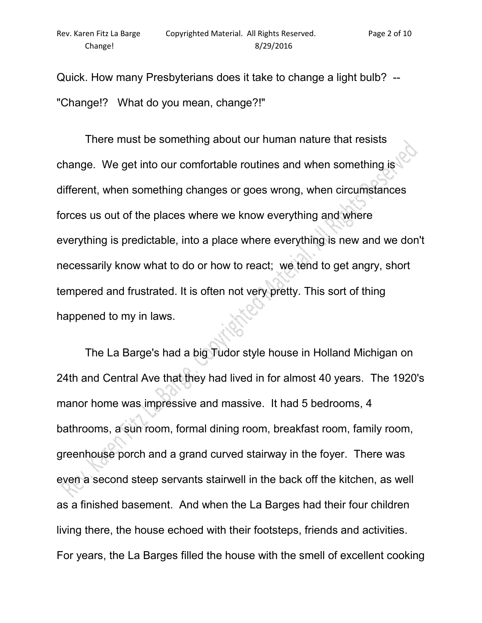Quick. How many Presbyterians does it take to change a light bulb? -- "Change!? What do you mean, change?!"

 There must be something about our human nature that resists change. We get into our comfortable routines and when something is different, when something changes or goes wrong, when circumstances forces us out of the places where we know everything and where everything is predictable, into a place where everything is new and we don't necessarily know what to do or how to react; we tend to get angry, short tempered and frustrated. It is often not very pretty. This sort of thing happened to my in laws.

 The La Barge's had a big Tudor style house in Holland Michigan on 24th and Central Ave that they had lived in for almost 40 years. The 1920's manor home was impressive and massive. It had 5 bedrooms, 4 bathrooms, a sun room, formal dining room, breakfast room, family room, greenhouse porch and a grand curved stairway in the foyer. There was even a second steep servants stairwell in the back off the kitchen, as well as a finished basement. And when the La Barges had their four children living there, the house echoed with their footsteps, friends and activities. For years, the La Barges filled the house with the smell of excellent cooking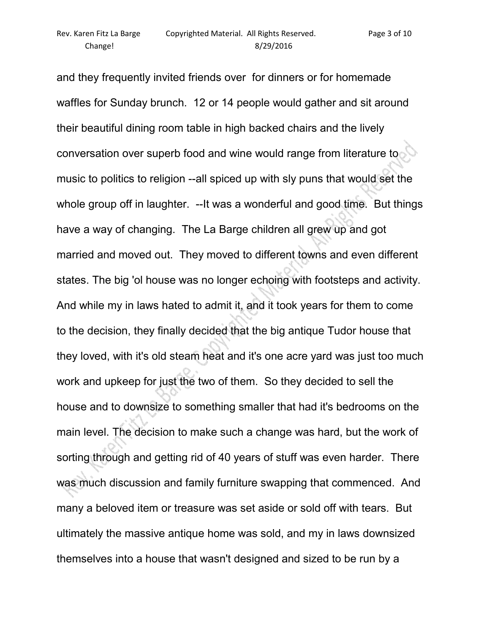and they frequently invited friends over for dinners or for homemade waffles for Sunday brunch. 12 or 14 people would gather and sit around their beautiful dining room table in high backed chairs and the lively conversation over superb food and wine would range from literature to music to politics to religion --all spiced up with sly puns that would set the whole group off in laughter. --It was a wonderful and good time. But things have a way of changing. The La Barge children all grew up and got married and moved out. They moved to different towns and even different states. The big 'ol house was no longer echoing with footsteps and activity. And while my in laws hated to admit it, and it took years for them to come to the decision, they finally decided that the big antique Tudor house that they loved, with it's old steam heat and it's one acre yard was just too much work and upkeep for just the two of them. So they decided to sell the house and to downsize to something smaller that had it's bedrooms on the main level. The decision to make such a change was hard, but the work of sorting through and getting rid of 40 years of stuff was even harder. There was much discussion and family furniture swapping that commenced. And many a beloved item or treasure was set aside or sold off with tears. But ultimately the massive antique home was sold, and my in laws downsized themselves into a house that wasn't designed and sized to be run by a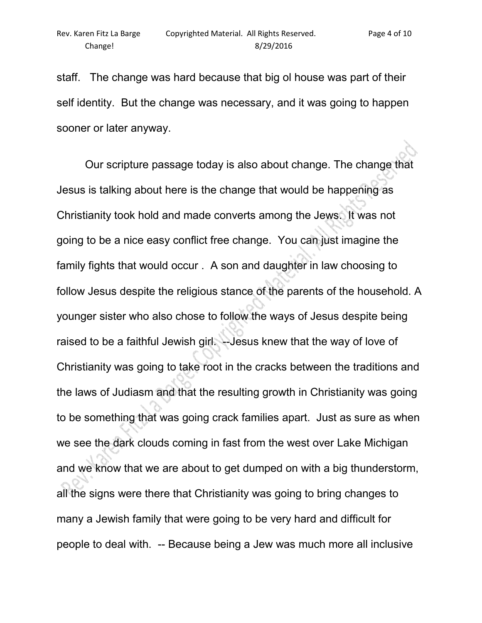staff. The change was hard because that big ol house was part of their self identity. But the change was necessary, and it was going to happen sooner or later anyway.

 Our scripture passage today is also about change. The change that Jesus is talking about here is the change that would be happening as Christianity took hold and made converts among the Jews. It was not going to be a nice easy conflict free change. You can just imagine the family fights that would occur . A son and daughter in law choosing to follow Jesus despite the religious stance of the parents of the household. A younger sister who also chose to follow the ways of Jesus despite being raised to be a faithful Jewish girl. --Jesus knew that the way of love of Christianity was going to take root in the cracks between the traditions and the laws of Judiasm and that the resulting growth in Christianity was going to be something that was going crack families apart. Just as sure as when we see the dark clouds coming in fast from the west over Lake Michigan and we know that we are about to get dumped on with a big thunderstorm, all the signs were there that Christianity was going to bring changes to many a Jewish family that were going to be very hard and difficult for people to deal with. -- Because being a Jew was much more all inclusive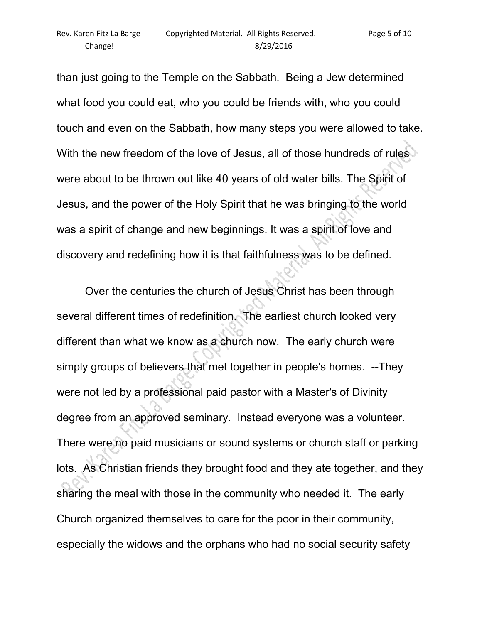than just going to the Temple on the Sabbath. Being a Jew determined what food you could eat, who you could be friends with, who you could touch and even on the Sabbath, how many steps you were allowed to take. With the new freedom of the love of Jesus, all of those hundreds of rules were about to be thrown out like 40 years of old water bills. The Spirit of Jesus, and the power of the Holy Spirit that he was bringing to the world was a spirit of change and new beginnings. It was a spirit of love and discovery and redefining how it is that faithfulness was to be defined.

 Over the centuries the church of Jesus Christ has been through several different times of redefinition. The earliest church looked very different than what we know as a church now. The early church were simply groups of believers that met together in people's homes. --They were not led by a professional paid pastor with a Master's of Divinity degree from an approved seminary. Instead everyone was a volunteer. There were no paid musicians or sound systems or church staff or parking lots. As Christian friends they brought food and they ate together, and they sharing the meal with those in the community who needed it. The early Church organized themselves to care for the poor in their community, especially the widows and the orphans who had no social security safety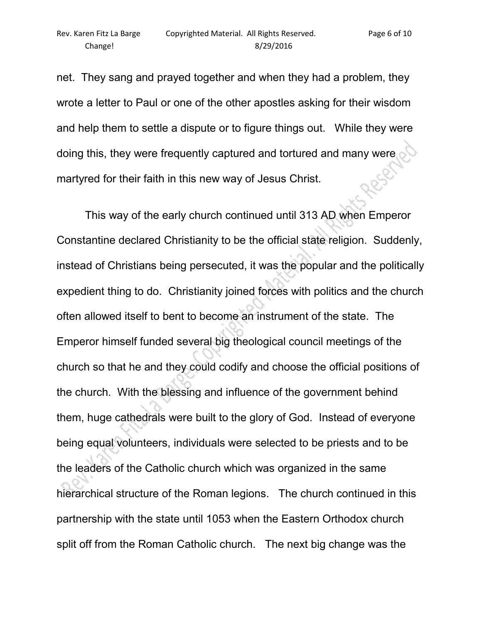net. They sang and prayed together and when they had a problem, they wrote a letter to Paul or one of the other apostles asking for their wisdom and help them to settle a dispute or to figure things out. While they were doing this, they were frequently captured and tortured and many were c martyred for their faith in this new way of Jesus Christ.

 This way of the early church continued until 313 AD when Emperor Constantine declared Christianity to be the official state religion. Suddenly, instead of Christians being persecuted, it was the popular and the politically expedient thing to do. Christianity joined forces with politics and the church often allowed itself to bent to become an instrument of the state. The Emperor himself funded several big theological council meetings of the church so that he and they could codify and choose the official positions of the church. With the blessing and influence of the government behind them, huge cathedrals were built to the glory of God. Instead of everyone being equal volunteers, individuals were selected to be priests and to be the leaders of the Catholic church which was organized in the same hierarchical structure of the Roman legions. The church continued in this partnership with the state until 1053 when the Eastern Orthodox church split off from the Roman Catholic church. The next big change was the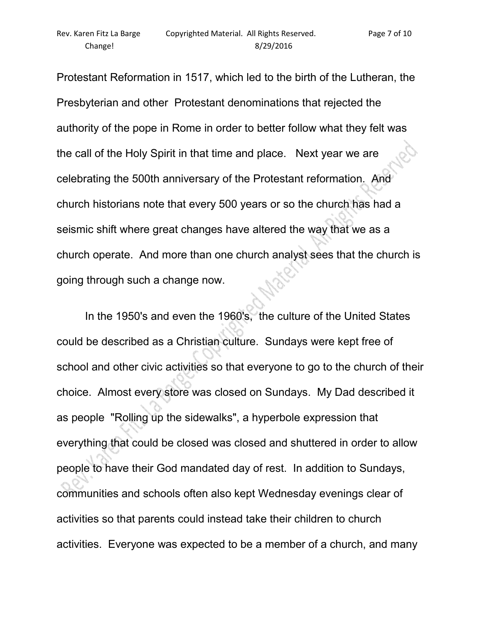Protestant Reformation in 1517, which led to the birth of the Lutheran, the Presbyterian and other Protestant denominations that rejected the authority of the pope in Rome in order to better follow what they felt was the call of the Holy Spirit in that time and place. Next year we are celebrating the 500th anniversary of the Protestant reformation. And church historians note that every 500 years or so the church has had a seismic shift where great changes have altered the way that we as a church operate. And more than one church analyst sees that the church is going through such a change now.

 In the 1950's and even the 1960's, the culture of the United States could be described as a Christian culture. Sundays were kept free of school and other civic activities so that everyone to go to the church of their choice. Almost every store was closed on Sundays. My Dad described it as people "Rolling up the sidewalks", a hyperbole expression that everything that could be closed was closed and shuttered in order to allow people to have their God mandated day of rest. In addition to Sundays, communities and schools often also kept Wednesday evenings clear of activities so that parents could instead take their children to church activities. Everyone was expected to be a member of a church, and many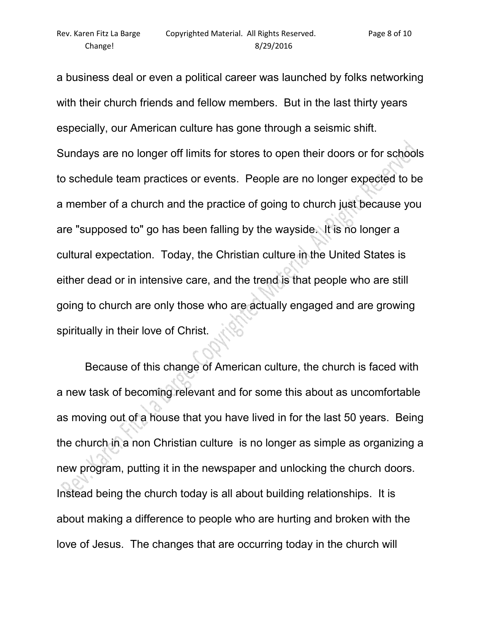a business deal or even a political career was launched by folks networking with their church friends and fellow members. But in the last thirty years especially, our American culture has gone through a seismic shift. Sundays are no longer off limits for stores to open their doors or for schools to schedule team practices or events. People are no longer expected to be a member of a church and the practice of going to church just because you are "supposed to" go has been falling by the wayside. It is no longer a cultural expectation. Today, the Christian culture in the United States is either dead or in intensive care, and the trend is that people who are still going to church are only those who are actually engaged and are growing spiritually in their love of Christ.

 Because of this change of American culture, the church is faced with a new task of becoming relevant and for some this about as uncomfortable as moving out of a house that you have lived in for the last 50 years. Being the church in a non Christian culture is no longer as simple as organizing a new program, putting it in the newspaper and unlocking the church doors. Instead being the church today is all about building relationships. It is about making a difference to people who are hurting and broken with the love of Jesus. The changes that are occurring today in the church will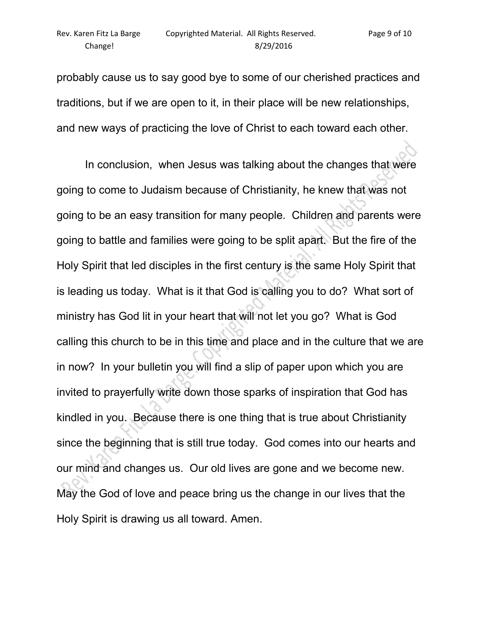probably cause us to say good bye to some of our cherished practices and traditions, but if we are open to it, in their place will be new relationships, and new ways of practicing the love of Christ to each toward each other.

 In conclusion, when Jesus was talking about the changes that were going to come to Judaism because of Christianity, he knew that was not going to be an easy transition for many people. Children and parents were going to battle and families were going to be split apart. But the fire of the Holy Spirit that led disciples in the first century is the same Holy Spirit that is leading us today. What is it that God is calling you to do? What sort of ministry has God lit in your heart that will not let you go? What is God calling this church to be in this time and place and in the culture that we are in now? In your bulletin you will find a slip of paper upon which you are invited to prayerfully write down those sparks of inspiration that God has kindled in you. Because there is one thing that is true about Christianity since the beginning that is still true today. God comes into our hearts and our mind and changes us. Our old lives are gone and we become new. May the God of love and peace bring us the change in our lives that the Holy Spirit is drawing us all toward. Amen.